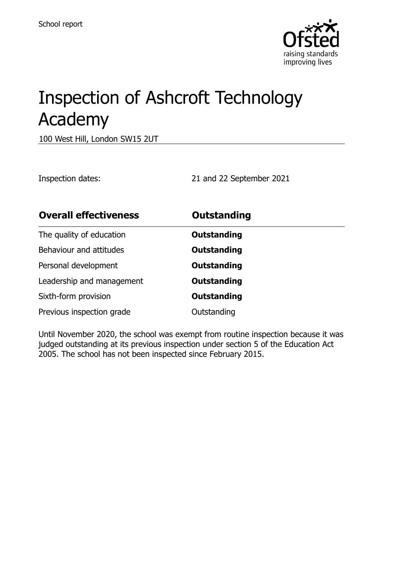

# Inspection of Ashcroft Technology Academy

100 West Hill, London SW15 2UT

Inspection dates: 21 and 22 September 2021

| <b>Overall effectiveness</b> | <b>Outstanding</b> |
|------------------------------|--------------------|
| The quality of education     | <b>Outstanding</b> |
| Behaviour and attitudes      | <b>Outstanding</b> |
| Personal development         | <b>Outstanding</b> |
| Leadership and management    | <b>Outstanding</b> |
| Sixth-form provision         | <b>Outstanding</b> |
| Previous inspection grade    | Outstanding        |

Until November 2020, the school was exempt from routine inspection because it was judged outstanding at its previous inspection under section 5 of the Education Act 2005. The school has not been inspected since February 2015.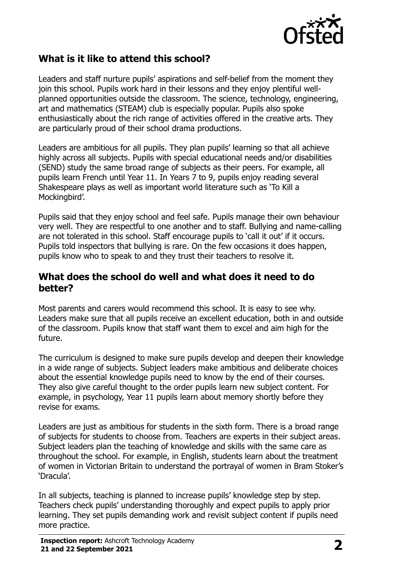

# **What is it like to attend this school?**

Leaders and staff nurture pupils' aspirations and self-belief from the moment they join this school. Pupils work hard in their lessons and they enjoy plentiful wellplanned opportunities outside the classroom. The science, technology, engineering, art and mathematics (STEAM) club is especially popular. Pupils also spoke enthusiastically about the rich range of activities offered in the creative arts. They are particularly proud of their school drama productions.

Leaders are ambitious for all pupils. They plan pupils' learning so that all achieve highly across all subjects. Pupils with special educational needs and/or disabilities (SEND) study the same broad range of subjects as their peers. For example, all pupils learn French until Year 11. In Years 7 to 9, pupils enjoy reading several Shakespeare plays as well as important world literature such as 'To Kill a Mockingbird'.

Pupils said that they enjoy school and feel safe. Pupils manage their own behaviour very well. They are respectful to one another and to staff. Bullying and name-calling are not tolerated in this school. Staff encourage pupils to 'call it out' if it occurs. Pupils told inspectors that bullying is rare. On the few occasions it does happen, pupils know who to speak to and they trust their teachers to resolve it.

#### **What does the school do well and what does it need to do better?**

Most parents and carers would recommend this school. It is easy to see why. Leaders make sure that all pupils receive an excellent education, both in and outside of the classroom. Pupils know that staff want them to excel and aim high for the future.

The curriculum is designed to make sure pupils develop and deepen their knowledge in a wide range of subjects. Subject leaders make ambitious and deliberate choices about the essential knowledge pupils need to know by the end of their courses. They also give careful thought to the order pupils learn new subject content. For example, in psychology, Year 11 pupils learn about memory shortly before they revise for exams.

Leaders are just as ambitious for students in the sixth form. There is a broad range of subjects for students to choose from. Teachers are experts in their subject areas. Subject leaders plan the teaching of knowledge and skills with the same care as throughout the school. For example, in English, students learn about the treatment of women in Victorian Britain to understand the portrayal of women in Bram Stoker's 'Dracula'.

In all subjects, teaching is planned to increase pupils' knowledge step by step. Teachers check pupils' understanding thoroughly and expect pupils to apply prior learning. They set pupils demanding work and revisit subject content if pupils need more practice.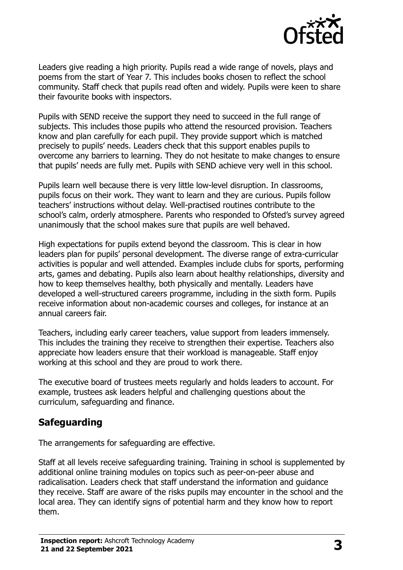

Leaders give reading a high priority. Pupils read a wide range of novels, plays and poems from the start of Year 7. This includes books chosen to reflect the school community. Staff check that pupils read often and widely. Pupils were keen to share their favourite books with inspectors.

Pupils with SEND receive the support they need to succeed in the full range of subjects. This includes those pupils who attend the resourced provision. Teachers know and plan carefully for each pupil. They provide support which is matched precisely to pupils' needs. Leaders check that this support enables pupils to overcome any barriers to learning. They do not hesitate to make changes to ensure that pupils' needs are fully met. Pupils with SEND achieve very well in this school.

Pupils learn well because there is very little low-level disruption. In classrooms, pupils focus on their work. They want to learn and they are curious. Pupils follow teachers' instructions without delay. Well-practised routines contribute to the school's calm, orderly atmosphere. Parents who responded to Ofsted's survey agreed unanimously that the school makes sure that pupils are well behaved.

High expectations for pupils extend beyond the classroom. This is clear in how leaders plan for pupils' personal development. The diverse range of extra-curricular activities is popular and well attended. Examples include clubs for sports, performing arts, games and debating. Pupils also learn about healthy relationships, diversity and how to keep themselves healthy, both physically and mentally. Leaders have developed a well-structured careers programme, including in the sixth form. Pupils receive information about non-academic courses and colleges, for instance at an annual careers fair.

Teachers, including early career teachers, value support from leaders immensely. This includes the training they receive to strengthen their expertise. Teachers also appreciate how leaders ensure that their workload is manageable. Staff enjoy working at this school and they are proud to work there.

The executive board of trustees meets regularly and holds leaders to account. For example, trustees ask leaders helpful and challenging questions about the curriculum, safeguarding and finance.

# **Safeguarding**

The arrangements for safeguarding are effective.

Staff at all levels receive safeguarding training. Training in school is supplemented by additional online training modules on topics such as peer-on-peer abuse and radicalisation. Leaders check that staff understand the information and guidance they receive. Staff are aware of the risks pupils may encounter in the school and the local area. They can identify signs of potential harm and they know how to report them.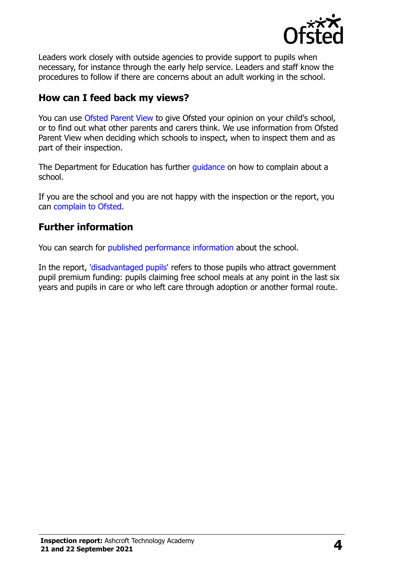

Leaders work closely with outside agencies to provide support to pupils when necessary, for instance through the early help service. Leaders and staff know the procedures to follow if there are concerns about an adult working in the school.

## **How can I feed back my views?**

You can use [Ofsted Parent View](http://parentview.ofsted.gov.uk/) to give Ofsted your opinion on your child's school, or to find out what other parents and carers think. We use information from Ofsted Parent View when deciding which schools to inspect, when to inspect them and as part of their inspection.

The Department for Education has further quidance on how to complain about a school.

If you are the school and you are not happy with the inspection or the report, you can [complain to Ofsted.](http://www.gov.uk/complain-ofsted-report)

### **Further information**

You can search for [published performance information](http://www.compare-school-performance.service.gov.uk/) about the school.

In the report, ['disadvantaged pupils'](http://www.gov.uk/guidance/pupil-premium-information-for-schools-and-alternative-provision-settings) refers to those pupils who attract government pupil premium funding: pupils claiming free school meals at any point in the last six years and pupils in care or who left care through adoption or another formal route.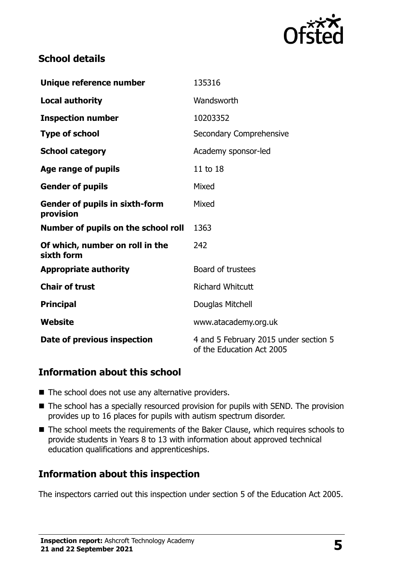

# **School details**

| Unique reference number                            | 135316                                                             |  |
|----------------------------------------------------|--------------------------------------------------------------------|--|
| <b>Local authority</b>                             | Wandsworth                                                         |  |
| <b>Inspection number</b>                           | 10203352                                                           |  |
| <b>Type of school</b>                              | Secondary Comprehensive                                            |  |
| <b>School category</b>                             | Academy sponsor-led                                                |  |
| Age range of pupils                                | 11 to 18                                                           |  |
| <b>Gender of pupils</b>                            | Mixed                                                              |  |
| <b>Gender of pupils in sixth-form</b><br>provision | Mixed                                                              |  |
| Number of pupils on the school roll                | 1363                                                               |  |
| Of which, number on roll in the<br>sixth form      | 242                                                                |  |
| <b>Appropriate authority</b>                       | Board of trustees                                                  |  |
| <b>Chair of trust</b>                              | <b>Richard Whitcutt</b>                                            |  |
| <b>Principal</b>                                   | Douglas Mitchell                                                   |  |
| Website                                            | www.atacademy.org.uk                                               |  |
| Date of previous inspection                        | 4 and 5 February 2015 under section 5<br>of the Education Act 2005 |  |

### **Information about this school**

- The school does not use any alternative providers.
- The school has a specially resourced provision for pupils with SEND. The provision provides up to 16 places for pupils with autism spectrum disorder.
- The school meets the requirements of the Baker Clause, which requires schools to provide students in Years 8 to 13 with information about approved technical education qualifications and apprenticeships.

# **Information about this inspection**

The inspectors carried out this inspection under section 5 of the Education Act 2005.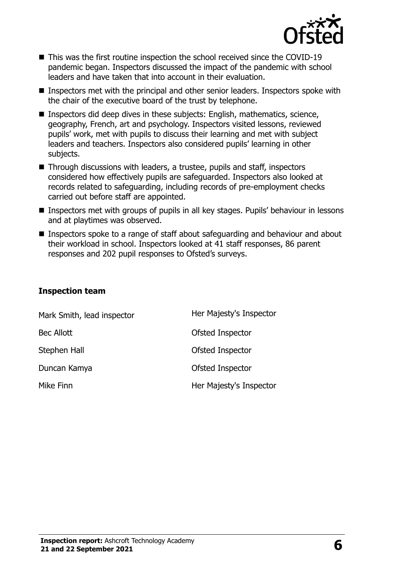

- This was the first routine inspection the school received since the COVID-19 pandemic began. Inspectors discussed the impact of the pandemic with school leaders and have taken that into account in their evaluation.
- Inspectors met with the principal and other senior leaders. Inspectors spoke with the chair of the executive board of the trust by telephone.
- Inspectors did deep dives in these subjects: English, mathematics, science, geography, French, art and psychology. Inspectors visited lessons, reviewed pupils' work, met with pupils to discuss their learning and met with subject leaders and teachers. Inspectors also considered pupils' learning in other subjects.
- Through discussions with leaders, a trustee, pupils and staff, inspectors considered how effectively pupils are safeguarded. Inspectors also looked at records related to safeguarding, including records of pre-employment checks carried out before staff are appointed.
- Inspectors met with groups of pupils in all key stages. Pupils' behaviour in lessons and at playtimes was observed.
- Inspectors spoke to a range of staff about safeguarding and behaviour and about their workload in school. Inspectors looked at 41 staff responses, 86 parent responses and 202 pupil responses to Ofsted's surveys.

#### **Inspection team**

| Mark Smith, lead inspector | Her Majesty's Inspector |
|----------------------------|-------------------------|
| <b>Bec Allott</b>          | Ofsted Inspector        |
| Stephen Hall               | Ofsted Inspector        |
| Duncan Kamya               | Ofsted Inspector        |
| Mike Finn                  | Her Majesty's Inspector |